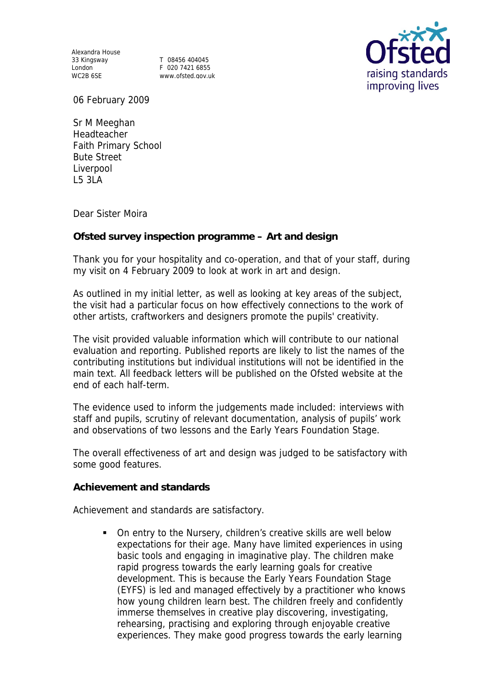Alexandra House 33 Kingsway T 08456 404045

Sə Kiriyəway<br>London F 020 7421 6855<br>WC2R 6SE MWW ofsted any u www.ofsted.gov.uk



06 February 2009

Sr M Meeghan Headteacher Faith Primary School Bute Street Liverpool L5 3LA

Dear Sister Moira

**Ofsted survey inspection programme – Art and design**

Thank you for your hospitality and co-operation, and that of your staff, during my visit on 4 February 2009 to look at work in art and design.

As outlined in my initial letter, as well as looking at key areas of the subject, the visit had a particular focus on how effectively connections to the work of other artists, craftworkers and designers promote the pupils' creativity.

The visit provided valuable information which will contribute to our national evaluation and reporting. Published reports are likely to list the names of the contributing institutions but individual institutions will not be identified in the main text. All feedback letters will be published on the Ofsted website at the end of each half-term.

The evidence used to inform the judgements made included: interviews with staff and pupils, scrutiny of relevant documentation, analysis of pupils' work and observations of two lessons and the Early Years Foundation Stage.

The overall effectiveness of art and design was judged to be satisfactory with some good features.

**Achievement and standards** 

Achievement and standards are satisfactory.

 On entry to the Nursery, children's creative skills are well below expectations for their age. Many have limited experiences in using basic tools and engaging in imaginative play. The children make rapid progress towards the early learning goals for creative development. This is because the Early Years Foundation Stage (EYFS) is led and managed effectively by a practitioner who knows how young children learn best. The children freely and confidently immerse themselves in creative play discovering, investigating, rehearsing, practising and exploring through enjoyable creative experiences. They make good progress towards the early learning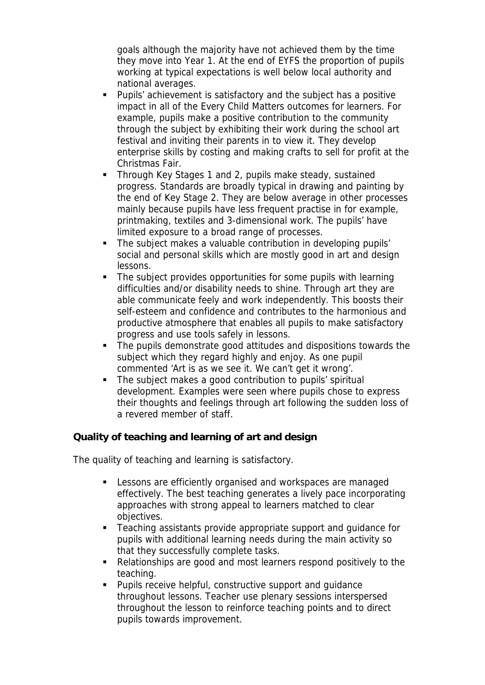goals although the majority have not achieved them by the time they move into Year 1. At the end of EYFS the proportion of pupils working at typical expectations is well below local authority and national averages.

- Pupils' achievement is satisfactory and the subject has a positive impact in all of the Every Child Matters outcomes for learners. For example, pupils make a positive contribution to the community through the subject by exhibiting their work during the school art festival and inviting their parents in to view it. They develop enterprise skills by costing and making crafts to sell for profit at the Christmas Fair.
- Through Key Stages 1 and 2, pupils make steady, sustained progress. Standards are broadly typical in drawing and painting by the end of Key Stage 2. They are below average in other processes mainly because pupils have less frequent practise in for example, printmaking, textiles and 3-dimensional work. The pupils' have limited exposure to a broad range of processes.
- The subject makes a valuable contribution in developing pupils' social and personal skills which are mostly good in art and design lessons.
- The subject provides opportunities for some pupils with learning difficulties and/or disability needs to shine. Through art they are able communicate feely and work independently. This boosts their self-esteem and confidence and contributes to the harmonious and productive atmosphere that enables all pupils to make satisfactory progress and use tools safely in lessons.
- The pupils demonstrate good attitudes and dispositions towards the subject which they regard highly and enjoy. As one pupil commented 'Art is as we see it. We can't get it wrong'.
- The subject makes a good contribution to pupils' spiritual development. Examples were seen where pupils chose to express their thoughts and feelings through art following the sudden loss of a revered member of staff.

**Quality of teaching and learning of art and design**

The quality of teaching and learning is satisfactory.

- **EXECT** Lessons are efficiently organised and workspaces are managed effectively. The best teaching generates a lively pace incorporating approaches with strong appeal to learners matched to clear objectives.
- Teaching assistants provide appropriate support and guidance for pupils with additional learning needs during the main activity so that they successfully complete tasks.
- Relationships are good and most learners respond positively to the teaching.
- Pupils receive helpful, constructive support and guidance throughout lessons. Teacher use plenary sessions interspersed throughout the lesson to reinforce teaching points and to direct pupils towards improvement.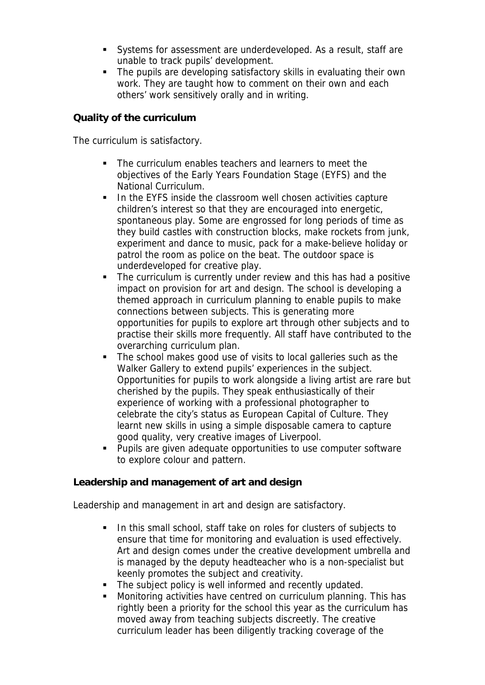- Systems for assessment are underdeveloped. As a result, staff are unable to track pupils' development.
- The pupils are developing satisfactory skills in evaluating their own work. They are taught how to comment on their own and each others' work sensitively orally and in writing.

## **Quality of the curriculum**

The curriculum is satisfactory.

- The curriculum enables teachers and learners to meet the objectives of the Early Years Foundation Stage (EYFS) and the National Curriculum.
- In the EYFS inside the classroom well chosen activities capture children's interest so that they are encouraged into energetic, spontaneous play. Some are engrossed for long periods of time as they build castles with construction blocks, make rockets from junk, experiment and dance to music, pack for a make-believe holiday or patrol the room as police on the beat. The outdoor space is underdeveloped for creative play.
- The curriculum is currently under review and this has had a positive impact on provision for art and design. The school is developing a themed approach in curriculum planning to enable pupils to make connections between subjects. This is generating more opportunities for pupils to explore art through other subjects and to practise their skills more frequently. All staff have contributed to the overarching curriculum plan.
- The school makes good use of visits to local galleries such as the Walker Gallery to extend pupils' experiences in the subject. Opportunities for pupils to work alongside a living artist are rare but cherished by the pupils. They speak enthusiastically of their experience of working with a professional photographer to celebrate the city's status as European Capital of Culture. They learnt new skills in using a simple disposable camera to capture good quality, very creative images of Liverpool.
- **Pupils are given adequate opportunities to use computer software** to explore colour and pattern.

**Leadership and management of art and design**

Leadership and management in art and design are satisfactory.

- In this small school, staff take on roles for clusters of subjects to ensure that time for monitoring and evaluation is used effectively. Art and design comes under the creative development umbrella and is managed by the deputy headteacher who is a non-specialist but keenly promotes the subject and creativity.
- The subject policy is well informed and recently updated.
- Monitoring activities have centred on curriculum planning. This has rightly been a priority for the school this year as the curriculum has moved away from teaching subjects discreetly. The creative curriculum leader has been diligently tracking coverage of the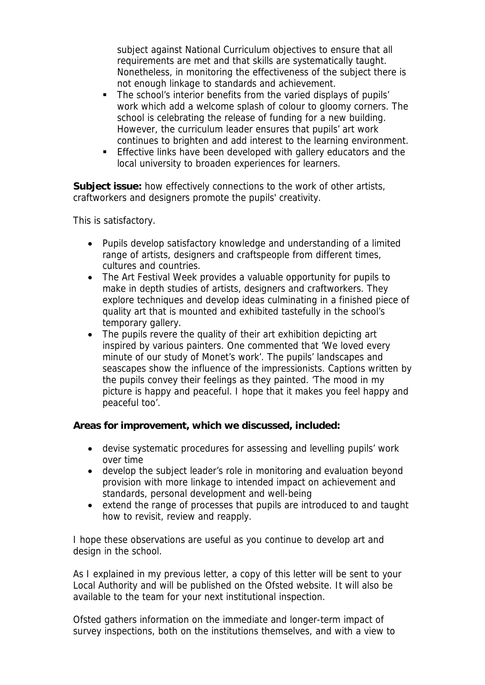subject against National Curriculum objectives to ensure that all requirements are met and that skills are systematically taught. Nonetheless, in monitoring the effectiveness of the subject there is not enough linkage to standards and achievement.

- The school's interior benefits from the varied displays of pupils' work which add a welcome splash of colour to gloomy corners. The school is celebrating the release of funding for a new building. However, the curriculum leader ensures that pupils' art work continues to brighten and add interest to the learning environment.
- **Effective links have been developed with gallery educators and the** local university to broaden experiences for learners.

**Subject issue:** how effectively connections to the work of other artists, craftworkers and designers promote the pupils' creativity.

This is satisfactory.

- Pupils develop satisfactory knowledge and understanding of a limited range of artists, designers and craftspeople from different times, cultures and countries.
- The Art Festival Week provides a valuable opportunity for pupils to make in depth studies of artists, designers and craftworkers. They explore techniques and develop ideas culminating in a finished piece of quality art that is mounted and exhibited tastefully in the school's temporary gallery.
- The pupils revere the quality of their art exhibition depicting art inspired by various painters. One commented that 'We loved every minute of our study of Monet's work'. The pupils' landscapes and seascapes show the influence of the impressionists. Captions written by the pupils convey their feelings as they painted. 'The mood in my picture is happy and peaceful. I hope that it makes you feel happy and peaceful too'.

**Areas for improvement, which we discussed, included:**

- devise systematic procedures for assessing and levelling pupils' work over time
- develop the subject leader's role in monitoring and evaluation beyond provision with more linkage to intended impact on achievement and standards, personal development and well-being
- extend the range of processes that pupils are introduced to and taught how to revisit, review and reapply.

I hope these observations are useful as you continue to develop art and design in the school.

As I explained in my previous letter, a copy of this letter will be sent to your Local Authority and will be published on the Ofsted website. It will also be available to the team for your next institutional inspection.

Ofsted gathers information on the immediate and longer-term impact of survey inspections, both on the institutions themselves, and with a view to